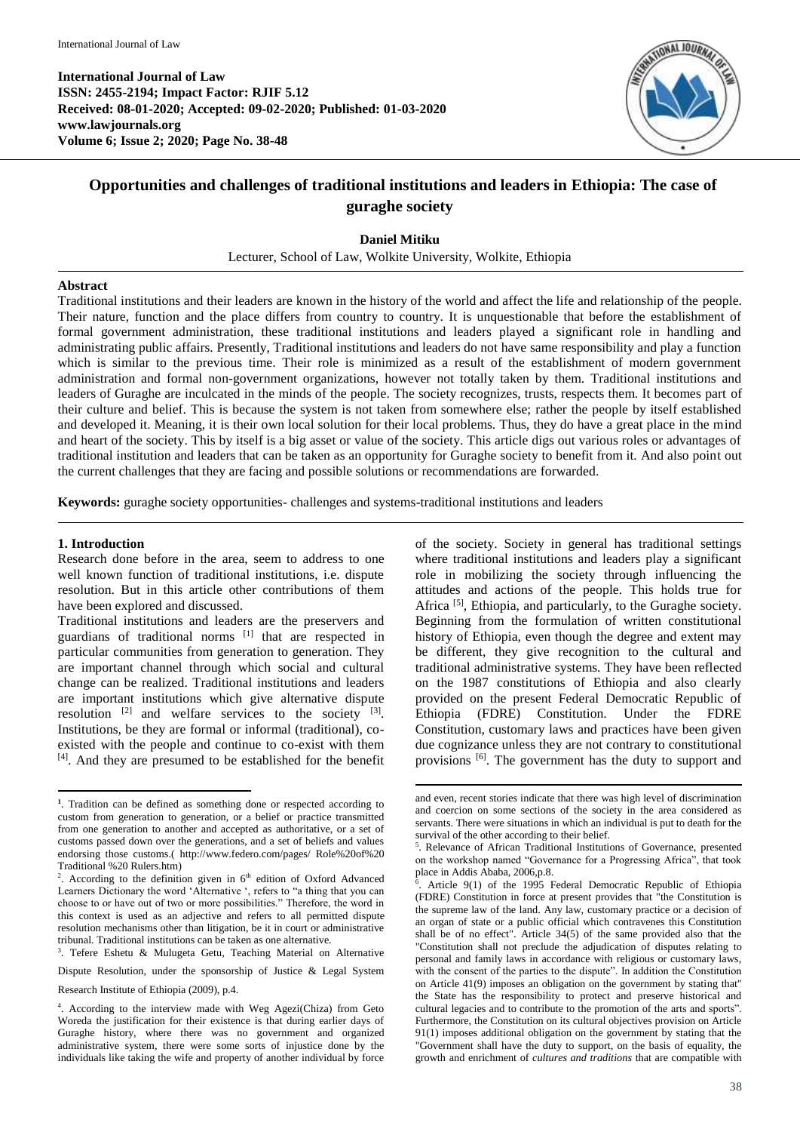

# **Opportunities and challenges of traditional institutions and leaders in Ethiopia: The case of guraghe society**

**Daniel Mitiku**

Lecturer, School of Law, Wolkite University, Wolkite, Ethiopia

#### **Abstract**

Traditional institutions and their leaders are known in the history of the world and affect the life and relationship of the people. Their nature, function and the place differs from country to country. It is unquestionable that before the establishment of formal government administration, these traditional institutions and leaders played a significant role in handling and administrating public affairs. Presently, Traditional institutions and leaders do not have same responsibility and play a function which is similar to the previous time. Their role is minimized as a result of the establishment of modern government administration and formal non-government organizations, however not totally taken by them. Traditional institutions and leaders of Guraghe are inculcated in the minds of the people. The society recognizes, trusts, respects them. It becomes part of their culture and belief. This is because the system is not taken from somewhere else; rather the people by itself established and developed it. Meaning, it is their own local solution for their local problems. Thus, they do have a great place in the mind and heart of the society. This by itself is a big asset or value of the society. This article digs out various roles or advantages of traditional institution and leaders that can be taken as an opportunity for Guraghe society to benefit from it. And also point out the current challenges that they are facing and possible solutions or recommendations are forwarded.

1

**Keywords:** guraghe society opportunities- challenges and systems-traditional institutions and leaders

#### **1. Introduction**

Research done before in the area, seem to address to one well known function of traditional institutions, i.e. dispute resolution. But in this article other contributions of them have been explored and discussed.

Traditional institutions and leaders are the preservers and guardians of traditional norms [1] that are respected in particular communities from generation to generation. They are important channel through which social and cultural change can be realized. Traditional institutions and leaders are important institutions which give alternative dispute resolution  $[2]$  and welfare services to the society  $[3]$ . Institutions, be they are formal or informal (traditional), coexisted with the people and continue to co-exist with them [4] . And they are presumed to be established for the benefit

<sup>3</sup>. Tefere Eshetu & Mulugeta Getu, Teaching Material on Alternative

Dispute Resolution, under the sponsorship of Justice & Legal System

of the society. Society in general has traditional settings where traditional institutions and leaders play a significant role in mobilizing the society through influencing the attitudes and actions of the people. This holds true for Africa <sup>[5]</sup>, Ethiopia, and particularly, to the Guraghe society. Beginning from the formulation of written constitutional history of Ethiopia, even though the degree and extent may be different, they give recognition to the cultural and traditional administrative systems. They have been reflected on the 1987 constitutions of Ethiopia and also clearly provided on the present Federal Democratic Republic of Ethiopia (FDRE) Constitution. Under the FDRE Constitution, customary laws and practices have been given due cognizance unless they are not contrary to constitutional provisions [6]. The government has the duty to support and

 **1** . Tradition can be defined as something done or respected according to custom from generation to generation, or a belief or practice transmitted from one generation to another and accepted as authoritative, or a set of customs passed down over the generations, and a set of beliefs and values endorsing those customs.( http://www.federo.com/pages/ Role%20of%20 Traditional %20 Rulers.htm)

<sup>&</sup>lt;sup>2</sup>. According to the definition given in  $6<sup>th</sup>$  edition of Oxford Advanced Learners Dictionary the word 'Alternative ', refers to "a thing that you can choose to or have out of two or more possibilities." Therefore, the word in this context is used as an adjective and refers to all permitted dispute resolution mechanisms other than litigation, be it in court or administrative tribunal. Traditional institutions can be taken as one alternative.

Research Institute of Ethiopia (2009), p.4.

<sup>4</sup> . According to the interview made with Weg Agezi(Chiza) from Geto Woreda the justification for their existence is that during earlier days of Guraghe history, where there was no government and organized administrative system, there were some sorts of injustice done by the individuals like taking the wife and property of another individual by force

and even, recent stories indicate that there was high level of discrimination and coercion on some sections of the society in the area considered as servants. There were situations in which an individual is put to death for the survival of the other according to their belief.

<sup>5</sup> . Relevance of African Traditional Institutions of Governance, presented on the workshop named "Governance for a Progressing Africa", that took place in Addis Ababa, 2006,p.8.

<sup>6</sup> . Article 9(1) of the 1995 Federal Democratic Republic of Ethiopia (FDRE) Constitution in force at present provides that "the Constitution is the supreme law of the land. Any law, customary practice or a decision of an organ of state or a public official which contravenes this Constitution shall be of no effect". Article 34(5) of the same provided also that the "Constitution shall not preclude the adjudication of disputes relating to personal and family laws in accordance with religious or customary laws, with the consent of the parties to the dispute". In addition the Constitution on Article 41(9) imposes an obligation on the government by stating that" the State has the responsibility to protect and preserve historical and cultural legacies and to contribute to the promotion of the arts and sports". Furthermore, the Constitution on its cultural objectives provision on Article 91(1) imposes additional obligation on the government by stating that the "Government shall have the duty to support, on the basis of equality, the growth and enrichment of *cultures and traditions* that are compatible with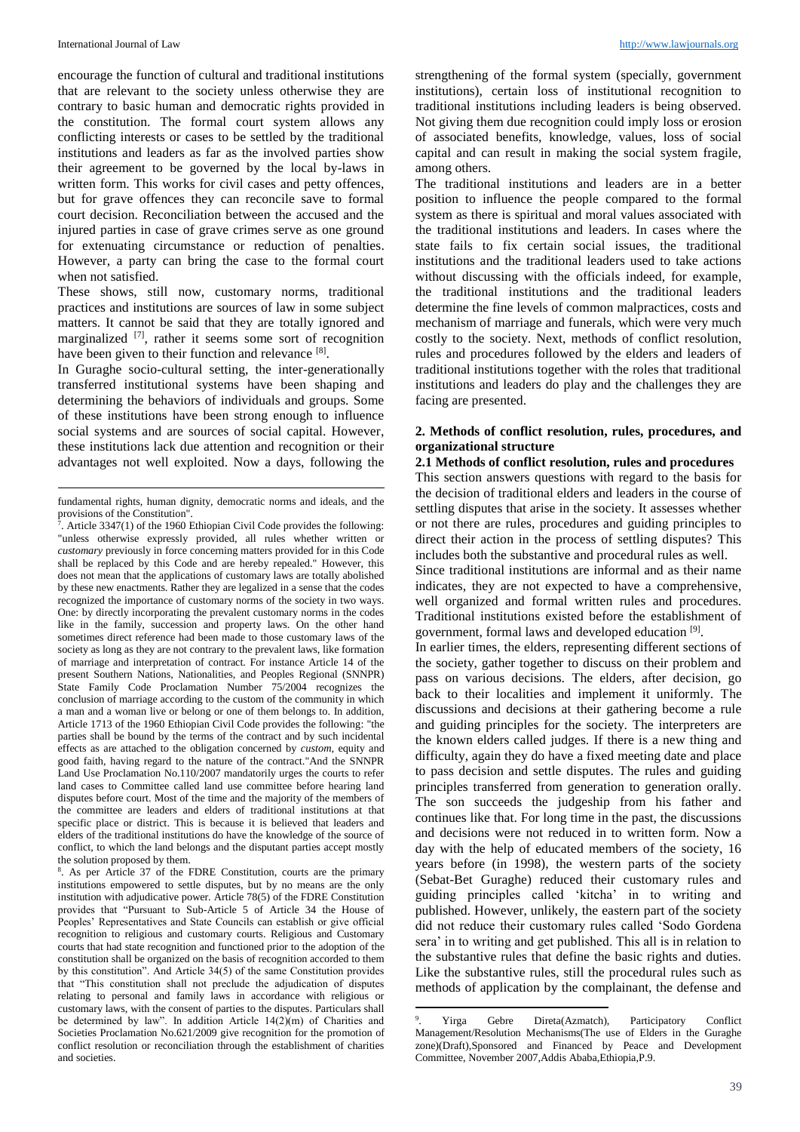encourage the function of cultural and traditional institutions that are relevant to the society unless otherwise they are contrary to basic human and democratic rights provided in the constitution. The formal court system allows any conflicting interests or cases to be settled by the traditional institutions and leaders as far as the involved parties show their agreement to be governed by the local by-laws in written form. This works for civil cases and petty offences, but for grave offences they can reconcile save to formal court decision. Reconciliation between the accused and the injured parties in case of grave crimes serve as one ground for extenuating circumstance or reduction of penalties. However, a party can bring the case to the formal court when not satisfied.

These shows, still now, customary norms, traditional practices and institutions are sources of law in some subject matters. It cannot be said that they are totally ignored and marginalized <sup>[7]</sup>, rather it seems some sort of recognition have been given to their function and relevance [8].

In Guraghe socio-cultural setting, the inter-generationally transferred institutional systems have been shaping and determining the behaviors of individuals and groups. Some of these institutions have been strong enough to influence social systems and are sources of social capital. However, these institutions lack due attention and recognition or their advantages not well exploited. Now a days, following the

8 . As per Article 37 of the FDRE Constitution, courts are the primary institutions empowered to settle disputes, but by no means are the only institution with adjudicative power. Article 78(5) of the FDRE Constitution provides that "Pursuant to Sub-Article 5 of Article 34 the House of Peoples' Representatives and State Councils can establish or give official recognition to religious and customary courts. Religious and Customary courts that had state recognition and functioned prior to the adoption of the constitution shall be organized on the basis of recognition accorded to them by this constitution". And Article 34(5) of the same Constitution provides that "This constitution shall not preclude the adjudication of disputes relating to personal and family laws in accordance with religious or customary laws, with the consent of parties to the disputes. Particulars shall be determined by law". In addition Article 14(2)(m) of Charities and Societies Proclamation No.621/2009 give recognition for the promotion of conflict resolution or reconciliation through the establishment of charities and societies.

strengthening of the formal system (specially, government institutions), certain loss of institutional recognition to traditional institutions including leaders is being observed. Not giving them due recognition could imply loss or erosion of associated benefits, knowledge, values, loss of social capital and can result in making the social system fragile, among others.

The traditional institutions and leaders are in a better position to influence the people compared to the formal system as there is spiritual and moral values associated with the traditional institutions and leaders. In cases where the state fails to fix certain social issues, the traditional institutions and the traditional leaders used to take actions without discussing with the officials indeed, for example, the traditional institutions and the traditional leaders determine the fine levels of common malpractices, costs and mechanism of marriage and funerals, which were very much costly to the society. Next, methods of conflict resolution, rules and procedures followed by the elders and leaders of traditional institutions together with the roles that traditional institutions and leaders do play and the challenges they are facing are presented.

## **2. Methods of conflict resolution, rules, procedures, and organizational structure**

**2.1 Methods of conflict resolution, rules and procedures** This section answers questions with regard to the basis for the decision of traditional elders and leaders in the course of settling disputes that arise in the society. It assesses whether or not there are rules, procedures and guiding principles to

direct their action in the process of settling disputes? This includes both the substantive and procedural rules as well. Since traditional institutions are informal and as their name indicates, they are not expected to have a comprehensive, well organized and formal written rules and procedures. Traditional institutions existed before the establishment of

government, formal laws and developed education [9]. In earlier times, the elders, representing different sections of the society, gather together to discuss on their problem and pass on various decisions. The elders, after decision, go back to their localities and implement it uniformly. The discussions and decisions at their gathering become a rule and guiding principles for the society. The interpreters are the known elders called judges. If there is a new thing and difficulty, again they do have a fixed meeting date and place to pass decision and settle disputes. The rules and guiding principles transferred from generation to generation orally. The son succeeds the judgeship from his father and continues like that. For long time in the past, the discussions and decisions were not reduced in to written form. Now a day with the help of educated members of the society, 16 years before (in 1998), the western parts of the society (Sebat-Bet Guraghe) reduced their customary rules and guiding principles called 'kitcha' in to writing and published. However, unlikely, the eastern part of the society did not reduce their customary rules called 'Sodo Gordena sera' in to writing and get published. This all is in relation to the substantive rules that define the basic rights and duties. Like the substantive rules, still the procedural rules such as methods of application by the complainant, the defense and

fundamental rights, human dignity, democratic norms and ideals, and the provisions of the Constitution".

<sup>&</sup>lt;sup>7</sup>. Article 3347(1) of the 1960 Ethiopian Civil Code provides the following: "unless otherwise expressly provided, all rules whether written or *customary* previously in force concerning matters provided for in this Code shall be replaced by this Code and are hereby repealed." However, this does not mean that the applications of customary laws are totally abolished by these new enactments. Rather they are legalized in a sense that the codes recognized the importance of customary norms of the society in two ways. One: by directly incorporating the prevalent customary norms in the codes like in the family, succession and property laws. On the other hand sometimes direct reference had been made to those customary laws of the society as long as they are not contrary to the prevalent laws, like formation of marriage and interpretation of contract. For instance Article 14 of the present Southern Nations, Nationalities, and Peoples Regional (SNNPR) State Family Code Proclamation Number 75/2004 recognizes the conclusion of marriage according to the custom of the community in which a man and a woman live or belong or one of them belongs to. In addition, Article 1713 of the 1960 Ethiopian Civil Code provides the following: "the parties shall be bound by the terms of the contract and by such incidental effects as are attached to the obligation concerned by *custom*, equity and good faith, having regard to the nature of the contract."And the SNNPR Land Use Proclamation No.110/2007 mandatorily urges the courts to refer land cases to Committee called land use committee before hearing land disputes before court. Most of the time and the majority of the members of the committee are leaders and elders of traditional institutions at that specific place or district. This is because it is believed that leaders and elders of the traditional institutions do have the knowledge of the source of conflict, to which the land belongs and the disputant parties accept mostly the solution proposed by them.

**<sup>.</sup>** 9 . Yirga Gebre Direta(Azmatch), Participatory Conflict Management/Resolution Mechanisms(The use of Elders in the Guraghe zone)(Draft),Sponsored and Financed by Peace and Development Committee, November 2007,Addis Ababa,Ethiopia,P.9.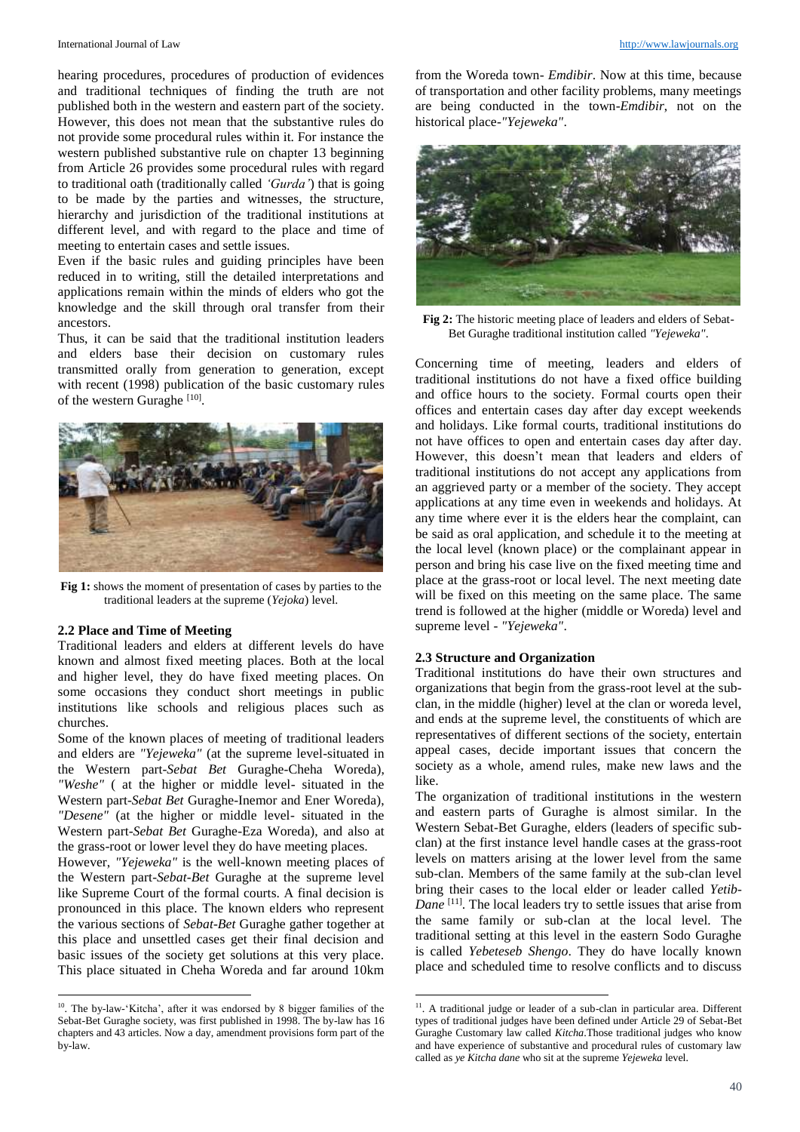hearing procedures, procedures of production of evidences and traditional techniques of finding the truth are not published both in the western and eastern part of the society. However, this does not mean that the substantive rules do not provide some procedural rules within it. For instance the western published substantive rule on chapter 13 beginning from Article 26 provides some procedural rules with regard to traditional oath (traditionally called *'Gurda'*) that is going to be made by the parties and witnesses, the structure, hierarchy and jurisdiction of the traditional institutions at different level, and with regard to the place and time of meeting to entertain cases and settle issues.

Even if the basic rules and guiding principles have been reduced in to writing, still the detailed interpretations and applications remain within the minds of elders who got the knowledge and the skill through oral transfer from their ancestors.

Thus, it can be said that the traditional institution leaders and elders base their decision on customary rules transmitted orally from generation to generation, except with recent (1998) publication of the basic customary rules of the western Guraghe<sup>[10]</sup>.



**Fig 1:** shows the moment of presentation of cases by parties to the traditional leaders at the supreme (*Yejoka*) level.

## **2.2 Place and Time of Meeting**

1

Traditional leaders and elders at different levels do have known and almost fixed meeting places. Both at the local and higher level, they do have fixed meeting places. On some occasions they conduct short meetings in public institutions like schools and religious places such as churches.

Some of the known places of meeting of traditional leaders and elders are *"Yejeweka"* (at the supreme level-situated in the Western part-*Sebat Bet* Guraghe-Cheha Woreda), *"Weshe"* ( at the higher or middle level- situated in the Western part-*Sebat Bet* Guraghe-Inemor and Ener Woreda), *"Desene"* (at the higher or middle level- situated in the Western part-*Sebat Bet* Guraghe-Eza Woreda), and also at the grass-root or lower level they do have meeting places.

However, *"Yejeweka"* is the well-known meeting places of the Western part-*Sebat-Bet* Guraghe at the supreme level like Supreme Court of the formal courts. A final decision is pronounced in this place. The known elders who represent the various sections of *Sebat-Bet* Guraghe gather together at this place and unsettled cases get their final decision and basic issues of the society get solutions at this very place. This place situated in Cheha Woreda and far around 10km

from the Woreda town- *Emdibir*. Now at this time, because of transportation and other facility problems, many meetings are being conducted in the town-*Emdibir*, not on the historical place-*"Yejeweka"*.



**Fig 2:** The historic meeting place of leaders and elders of Sebat-Bet Guraghe traditional institution called *"Yejeweka"*.

Concerning time of meeting, leaders and elders of traditional institutions do not have a fixed office building and office hours to the society. Formal courts open their offices and entertain cases day after day except weekends and holidays. Like formal courts, traditional institutions do not have offices to open and entertain cases day after day. However, this doesn't mean that leaders and elders of traditional institutions do not accept any applications from an aggrieved party or a member of the society. They accept applications at any time even in weekends and holidays. At any time where ever it is the elders hear the complaint, can be said as oral application, and schedule it to the meeting at the local level (known place) or the complainant appear in person and bring his case live on the fixed meeting time and place at the grass-root or local level. The next meeting date will be fixed on this meeting on the same place. The same trend is followed at the higher (middle or Woreda) level and supreme level - *"Yejeweka"*.

#### **2.3 Structure and Organization**

1

Traditional institutions do have their own structures and organizations that begin from the grass-root level at the subclan, in the middle (higher) level at the clan or woreda level, and ends at the supreme level, the constituents of which are representatives of different sections of the society, entertain appeal cases, decide important issues that concern the society as a whole, amend rules, make new laws and the like.

The organization of traditional institutions in the western and eastern parts of Guraghe is almost similar. In the Western Sebat-Bet Guraghe, elders (leaders of specific subclan) at the first instance level handle cases at the grass-root levels on matters arising at the lower level from the same sub-clan. Members of the same family at the sub-clan level bring their cases to the local elder or leader called *Yetib-Dane* [11] . The local leaders try to settle issues that arise from the same family or sub-clan at the local level. The traditional setting at this level in the eastern Sodo Guraghe is called *Yebeteseb Shengo*. They do have locally known place and scheduled time to resolve conflicts and to discuss

<sup>&</sup>lt;sup>10</sup>. The by-law-'Kitcha', after it was endorsed by 8 bigger families of the Sebat-Bet Guraghe society, was first published in 1998. The by-law has 16 chapters and 43 articles. Now a day, amendment provisions form part of the by-law.

<sup>&</sup>lt;sup>11</sup>. A traditional judge or leader of a sub-clan in particular area. Different types of traditional judges have been defined under Article 29 of Sebat-Bet Guraghe Customary law called *Kitcha*.Those traditional judges who know and have experience of substantive and procedural rules of customary law called as *ye Kitcha dane* who sit at the supreme *Yejeweka* level.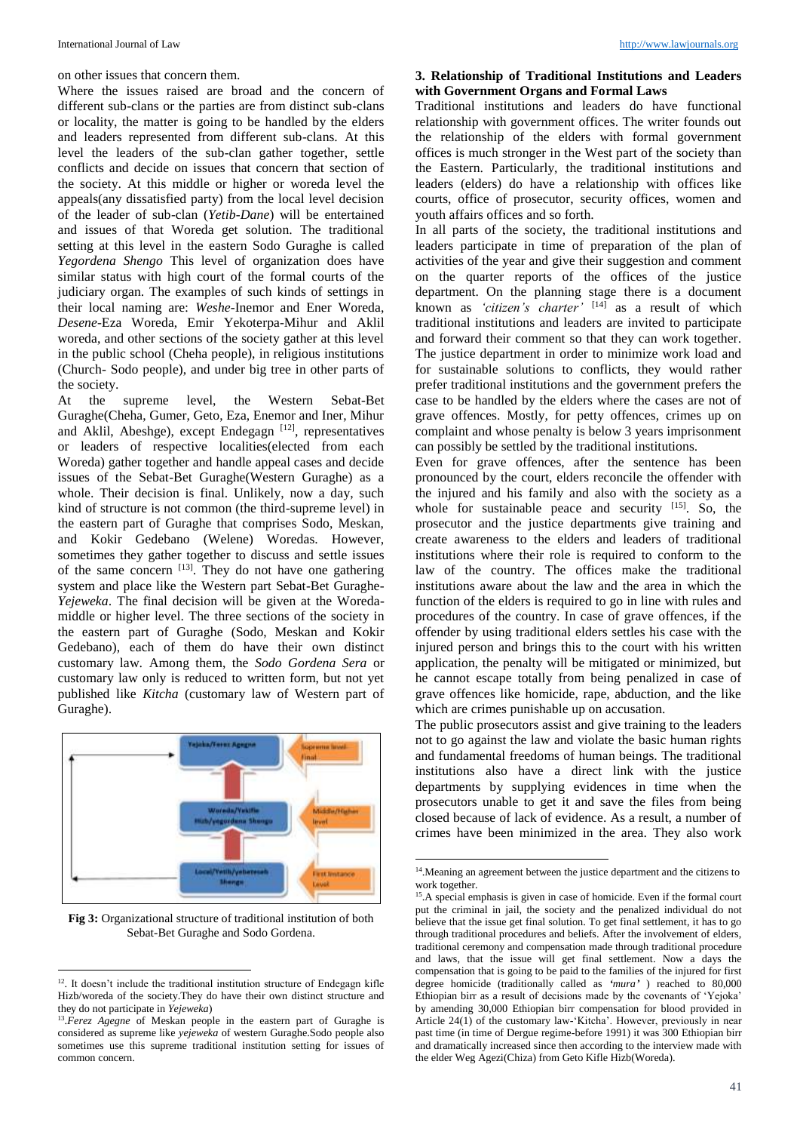on other issues that concern them.

Where the issues raised are broad and the concern of different sub-clans or the parties are from distinct sub-clans or locality, the matter is going to be handled by the elders and leaders represented from different sub-clans. At this level the leaders of the sub-clan gather together, settle conflicts and decide on issues that concern that section of the society. At this middle or higher or woreda level the appeals(any dissatisfied party) from the local level decision of the leader of sub-clan (*Yetib-Dane*) will be entertained and issues of that Woreda get solution. The traditional setting at this level in the eastern Sodo Guraghe is called *Yegordena Shengo* This level of organization does have similar status with high court of the formal courts of the judiciary organ. The examples of such kinds of settings in their local naming are: *Weshe*-Inemor and Ener Woreda, *Desene*-Eza Woreda, Emir Yekoterpa-Mihur and Aklil woreda, and other sections of the society gather at this level in the public school (Cheha people), in religious institutions (Church- Sodo people), and under big tree in other parts of the society.

At the supreme level, the Western Sebat-Bet Guraghe(Cheha, Gumer, Geto, Eza, Enemor and Iner, Mihur and Aklil, Abeshge), except Endegagn [12], representatives or leaders of respective localities(elected from each Woreda) gather together and handle appeal cases and decide issues of the Sebat-Bet Guraghe(Western Guraghe) as a whole. Their decision is final. Unlikely, now a day, such kind of structure is not common (the third-supreme level) in the eastern part of Guraghe that comprises Sodo, Meskan, and Kokir Gedebano (Welene) Woredas. However, sometimes they gather together to discuss and settle issues of the same concern  $[13]$ . They do not have one gathering system and place like the Western part Sebat-Bet Guraghe-*Yejeweka*. The final decision will be given at the Woredamiddle or higher level. The three sections of the society in the eastern part of Guraghe (Sodo, Meskan and Kokir Gedebano), each of them do have their own distinct customary law. Among them, the *Sodo Gordena Sera* or customary law only is reduced to written form, but not yet published like *Kitcha* (customary law of Western part of Guraghe).



**Fig 3:** Organizational structure of traditional institution of both Sebat-Bet Guraghe and Sodo Gordena.

1

#### **3. Relationship of Traditional Institutions and Leaders with Government Organs and Formal Laws**

Traditional institutions and leaders do have functional relationship with government offices. The writer founds out the relationship of the elders with formal government offices is much stronger in the West part of the society than the Eastern. Particularly, the traditional institutions and leaders (elders) do have a relationship with offices like courts, office of prosecutor, security offices, women and youth affairs offices and so forth.

In all parts of the society, the traditional institutions and leaders participate in time of preparation of the plan of activities of the year and give their suggestion and comment on the quarter reports of the offices of the justice department. On the planning stage there is a document known as *'citizen's charter'* [14] as a result of which traditional institutions and leaders are invited to participate and forward their comment so that they can work together. The justice department in order to minimize work load and for sustainable solutions to conflicts, they would rather prefer traditional institutions and the government prefers the case to be handled by the elders where the cases are not of grave offences. Mostly, for petty offences, crimes up on complaint and whose penalty is below 3 years imprisonment can possibly be settled by the traditional institutions.

Even for grave offences, after the sentence has been pronounced by the court, elders reconcile the offender with the injured and his family and also with the society as a whole for sustainable peace and security  $[15]$ . So, the prosecutor and the justice departments give training and create awareness to the elders and leaders of traditional institutions where their role is required to conform to the law of the country. The offices make the traditional institutions aware about the law and the area in which the function of the elders is required to go in line with rules and procedures of the country. In case of grave offences, if the offender by using traditional elders settles his case with the injured person and brings this to the court with his written application, the penalty will be mitigated or minimized, but he cannot escape totally from being penalized in case of grave offences like homicide, rape, abduction, and the like which are crimes punishable up on accusation.

The public prosecutors assist and give training to the leaders not to go against the law and violate the basic human rights and fundamental freedoms of human beings. The traditional institutions also have a direct link with the justice departments by supplying evidences in time when the prosecutors unable to get it and save the files from being closed because of lack of evidence. As a result, a number of crimes have been minimized in the area. They also work

-

<sup>&</sup>lt;sup>12</sup>. It doesn't include the traditional institution structure of Endegagn kifle Hizb/woreda of the society.They do have their own distinct structure and they do not participate in *Yejeweka*)

<sup>&</sup>lt;sup>13</sup>.*Ferez Agegne* of Meskan people in the eastern part of Guraghe is considered as supreme like *yejeweka* of western Guraghe.Sodo people also sometimes use this supreme traditional institution setting for issues of common concern.

<sup>&</sup>lt;sup>14</sup>. Meaning an agreement between the justice department and the citizens to work together.

<sup>&</sup>lt;sup>15</sup>.A special emphasis is given in case of homicide. Even if the formal court put the criminal in jail, the society and the penalized individual do not believe that the issue get final solution. To get final settlement, it has to go through traditional procedures and beliefs. After the involvement of elders, traditional ceremony and compensation made through traditional procedure and laws, that the issue will get final settlement. Now a days the compensation that is going to be paid to the families of the injured for first degree homicide (traditionally called as *'mura'* ) reached to 80,000 Ethiopian birr as a result of decisions made by the covenants of 'Yejoka' by amending 30,000 Ethiopian birr compensation for blood provided in Article 24(1) of the customary law-'Kitcha'. However, previously in near past time (in time of Dergue regime-before 1991) it was 300 Ethiopian birr and dramatically increased since then according to the interview made with the elder Weg Agezi(Chiza) from Geto Kifle Hizb(Woreda).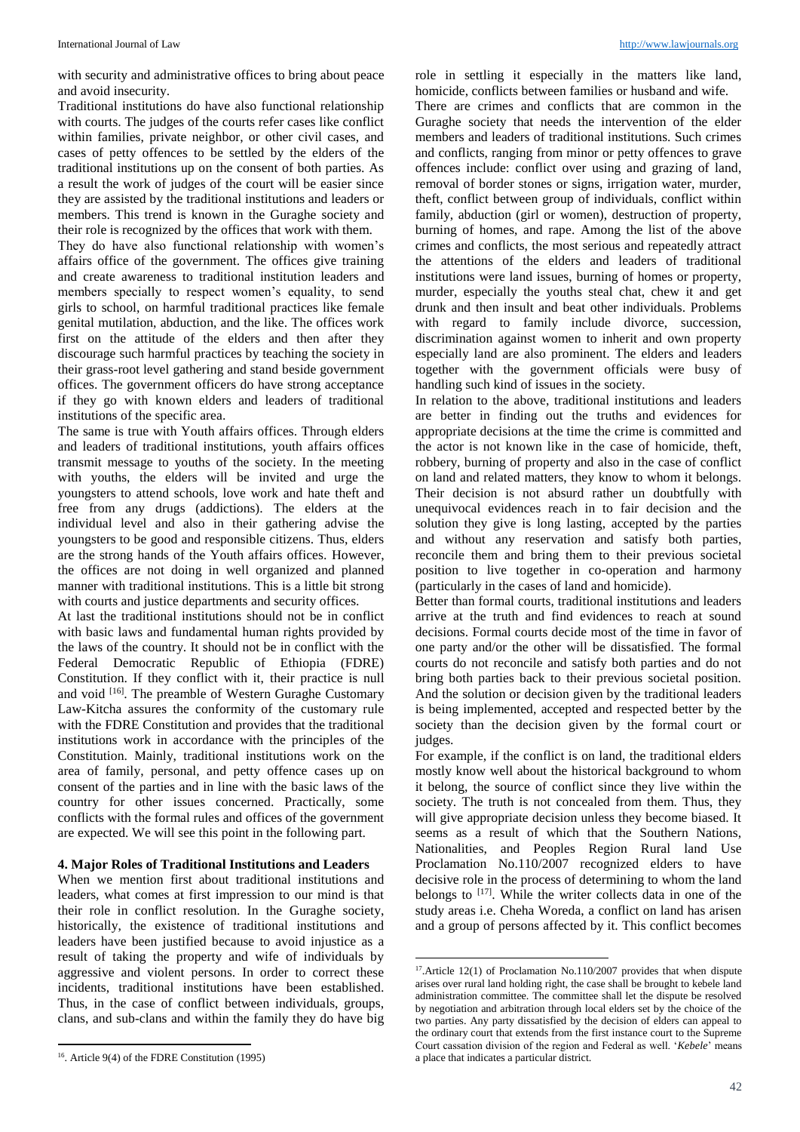with security and administrative offices to bring about peace and avoid insecurity.

Traditional institutions do have also functional relationship with courts. The judges of the courts refer cases like conflict within families, private neighbor, or other civil cases, and cases of petty offences to be settled by the elders of the traditional institutions up on the consent of both parties. As a result the work of judges of the court will be easier since they are assisted by the traditional institutions and leaders or members. This trend is known in the Guraghe society and their role is recognized by the offices that work with them.

They do have also functional relationship with women's affairs office of the government. The offices give training and create awareness to traditional institution leaders and members specially to respect women's equality, to send girls to school, on harmful traditional practices like female genital mutilation, abduction, and the like. The offices work first on the attitude of the elders and then after they discourage such harmful practices by teaching the society in their grass-root level gathering and stand beside government offices. The government officers do have strong acceptance if they go with known elders and leaders of traditional institutions of the specific area.

The same is true with Youth affairs offices. Through elders and leaders of traditional institutions, youth affairs offices transmit message to youths of the society. In the meeting with youths, the elders will be invited and urge the youngsters to attend schools, love work and hate theft and free from any drugs (addictions). The elders at the individual level and also in their gathering advise the youngsters to be good and responsible citizens. Thus, elders are the strong hands of the Youth affairs offices. However, the offices are not doing in well organized and planned manner with traditional institutions. This is a little bit strong with courts and justice departments and security offices.

At last the traditional institutions should not be in conflict with basic laws and fundamental human rights provided by the laws of the country. It should not be in conflict with the Federal Democratic Republic of Ethiopia (FDRE) Constitution. If they conflict with it, their practice is null and void <a>[16]</a>. The preamble of Western Guraghe Customary Law-Kitcha assures the conformity of the customary rule with the FDRE Constitution and provides that the traditional institutions work in accordance with the principles of the Constitution. Mainly, traditional institutions work on the area of family, personal, and petty offence cases up on consent of the parties and in line with the basic laws of the country for other issues concerned. Practically, some conflicts with the formal rules and offices of the government are expected. We will see this point in the following part.

#### **4. Major Roles of Traditional Institutions and Leaders**

When we mention first about traditional institutions and leaders, what comes at first impression to our mind is that their role in conflict resolution. In the Guraghe society, historically, the existence of traditional institutions and leaders have been justified because to avoid injustice as a result of taking the property and wife of individuals by aggressive and violent persons. In order to correct these incidents, traditional institutions have been established. Thus, in the case of conflict between individuals, groups, clans, and sub-clans and within the family they do have big

1

role in settling it especially in the matters like land, homicide, conflicts between families or husband and wife. There are crimes and conflicts that are common in the Guraghe society that needs the intervention of the elder members and leaders of traditional institutions. Such crimes and conflicts, ranging from minor or petty offences to grave offences include: conflict over using and grazing of land, removal of border stones or signs, irrigation water, murder, theft, conflict between group of individuals, conflict within family, abduction (girl or women), destruction of property, burning of homes, and rape. Among the list of the above crimes and conflicts, the most serious and repeatedly attract the attentions of the elders and leaders of traditional institutions were land issues, burning of homes or property, murder, especially the youths steal chat, chew it and get drunk and then insult and beat other individuals. Problems with regard to family include divorce, succession, discrimination against women to inherit and own property especially land are also prominent. The elders and leaders together with the government officials were busy of handling such kind of issues in the society.

In relation to the above, traditional institutions and leaders are better in finding out the truths and evidences for appropriate decisions at the time the crime is committed and the actor is not known like in the case of homicide, theft, robbery, burning of property and also in the case of conflict on land and related matters, they know to whom it belongs. Their decision is not absurd rather un doubtfully with unequivocal evidences reach in to fair decision and the solution they give is long lasting, accepted by the parties and without any reservation and satisfy both parties, reconcile them and bring them to their previous societal position to live together in co-operation and harmony (particularly in the cases of land and homicide).

Better than formal courts, traditional institutions and leaders arrive at the truth and find evidences to reach at sound decisions. Formal courts decide most of the time in favor of one party and/or the other will be dissatisfied. The formal courts do not reconcile and satisfy both parties and do not bring both parties back to their previous societal position. And the solution or decision given by the traditional leaders is being implemented, accepted and respected better by the society than the decision given by the formal court or judges.

For example, if the conflict is on land, the traditional elders mostly know well about the historical background to whom it belong, the source of conflict since they live within the society. The truth is not concealed from them. Thus, they will give appropriate decision unless they become biased. It seems as a result of which that the Southern Nations, Nationalities, and Peoples Region Rural land Use Proclamation No.110/2007 recognized elders to have decisive role in the process of determining to whom the land belongs to <sup>[17]</sup>. While the writer collects data in one of the study areas i.e. Cheha Woreda, a conflict on land has arisen and a group of persons affected by it. This conflict becomes

**.** 

<sup>16</sup> . Article 9(4) of the FDRE Constitution (1995)

<sup>&</sup>lt;sup>17</sup>.Article 12(1) of Proclamation No.110/2007 provides that when dispute arises over rural land holding right, the case shall be brought to kebele land administration committee. The committee shall let the dispute be resolved by negotiation and arbitration through local elders set by the choice of the two parties. Any party dissatisfied by the decision of elders can appeal to the ordinary court that extends from the first instance court to the Supreme Court cassation division of the region and Federal as well. '*Kebele*' means a place that indicates a particular district.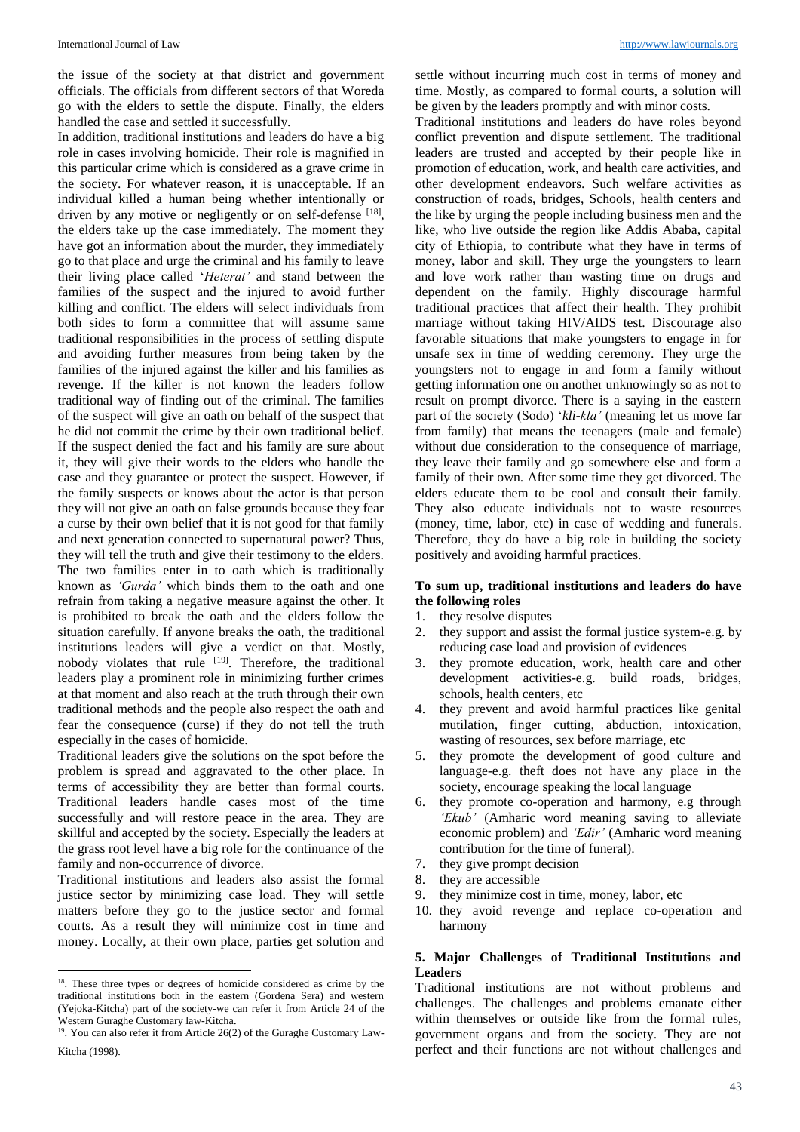the issue of the society at that district and government officials. The officials from different sectors of that Woreda go with the elders to settle the dispute. Finally, the elders handled the case and settled it successfully.

In addition, traditional institutions and leaders do have a big role in cases involving homicide. Their role is magnified in this particular crime which is considered as a grave crime in the society. For whatever reason, it is unacceptable. If an individual killed a human being whether intentionally or driven by any motive or negligently or on self-defense [18], the elders take up the case immediately. The moment they have got an information about the murder, they immediately go to that place and urge the criminal and his family to leave their living place called '*Heterat'* and stand between the families of the suspect and the injured to avoid further killing and conflict. The elders will select individuals from both sides to form a committee that will assume same traditional responsibilities in the process of settling dispute and avoiding further measures from being taken by the families of the injured against the killer and his families as revenge. If the killer is not known the leaders follow traditional way of finding out of the criminal. The families of the suspect will give an oath on behalf of the suspect that he did not commit the crime by their own traditional belief. If the suspect denied the fact and his family are sure about it, they will give their words to the elders who handle the case and they guarantee or protect the suspect. However, if the family suspects or knows about the actor is that person they will not give an oath on false grounds because they fear a curse by their own belief that it is not good for that family and next generation connected to supernatural power? Thus, they will tell the truth and give their testimony to the elders. The two families enter in to oath which is traditionally known as *'Gurda'* which binds them to the oath and one refrain from taking a negative measure against the other. It is prohibited to break the oath and the elders follow the situation carefully. If anyone breaks the oath, the traditional institutions leaders will give a verdict on that. Mostly, nobody violates that rule <sup>[19]</sup>. Therefore, the traditional leaders play a prominent role in minimizing further crimes at that moment and also reach at the truth through their own traditional methods and the people also respect the oath and fear the consequence (curse) if they do not tell the truth especially in the cases of homicide.

Traditional leaders give the solutions on the spot before the problem is spread and aggravated to the other place. In terms of accessibility they are better than formal courts. Traditional leaders handle cases most of the time successfully and will restore peace in the area. They are skillful and accepted by the society. Especially the leaders at the grass root level have a big role for the continuance of the family and non-occurrence of divorce.

Traditional institutions and leaders also assist the formal justice sector by minimizing case load. They will settle matters before they go to the justice sector and formal courts. As a result they will minimize cost in time and money. Locally, at their own place, parties get solution and settle without incurring much cost in terms of money and time. Mostly, as compared to formal courts, a solution will be given by the leaders promptly and with minor costs.

Traditional institutions and leaders do have roles beyond conflict prevention and dispute settlement. The traditional leaders are trusted and accepted by their people like in promotion of education, work, and health care activities, and other development endeavors. Such welfare activities as construction of roads, bridges, Schools, health centers and the like by urging the people including business men and the like, who live outside the region like Addis Ababa, capital city of Ethiopia, to contribute what they have in terms of money, labor and skill. They urge the youngsters to learn and love work rather than wasting time on drugs and dependent on the family. Highly discourage harmful traditional practices that affect their health. They prohibit marriage without taking HIV/AIDS test. Discourage also favorable situations that make youngsters to engage in for unsafe sex in time of wedding ceremony. They urge the youngsters not to engage in and form a family without getting information one on another unknowingly so as not to result on prompt divorce. There is a saying in the eastern part of the society (Sodo) '*kli-kla'* (meaning let us move far from family) that means the teenagers (male and female) without due consideration to the consequence of marriage, they leave their family and go somewhere else and form a family of their own. After some time they get divorced. The elders educate them to be cool and consult their family. They also educate individuals not to waste resources (money, time, labor, etc) in case of wedding and funerals. Therefore, they do have a big role in building the society positively and avoiding harmful practices.

## **To sum up, traditional institutions and leaders do have the following roles**

- 1. they resolve disputes
- 2. they support and assist the formal justice system-e.g. by reducing case load and provision of evidences
- 3. they promote education, work, health care and other development activities-e.g. build roads, bridges, schools, health centers, etc
- 4. they prevent and avoid harmful practices like genital mutilation, finger cutting, abduction, intoxication, wasting of resources, sex before marriage, etc
- 5. they promote the development of good culture and language-e.g. theft does not have any place in the society, encourage speaking the local language
- 6. they promote co-operation and harmony, e.g through *'Ekub'* (Amharic word meaning saving to alleviate economic problem) and *'Edir'* (Amharic word meaning contribution for the time of funeral).
- 7. they give prompt decision
- 8. they are accessible
- 9. they minimize cost in time, money, labor, etc
- 10. they avoid revenge and replace co-operation and harmony

## **5. Major Challenges of Traditional Institutions and Leaders**

Traditional institutions are not without problems and challenges. The challenges and problems emanate either within themselves or outside like from the formal rules, government organs and from the society. They are not perfect and their functions are not without challenges and

<sup>&</sup>lt;sup>18</sup>. These three types or degrees of homicide considered as crime by the traditional institutions both in the eastern (Gordena Sera) and western (Yejoka-Kitcha) part of the society-we can refer it from Article 24 of the Western Guraghe Customary law-Kitcha.

<sup>&</sup>lt;sup>19</sup>. You can also refer it from Article 26(2) of the Guraghe Customary Law-Kitcha (1998).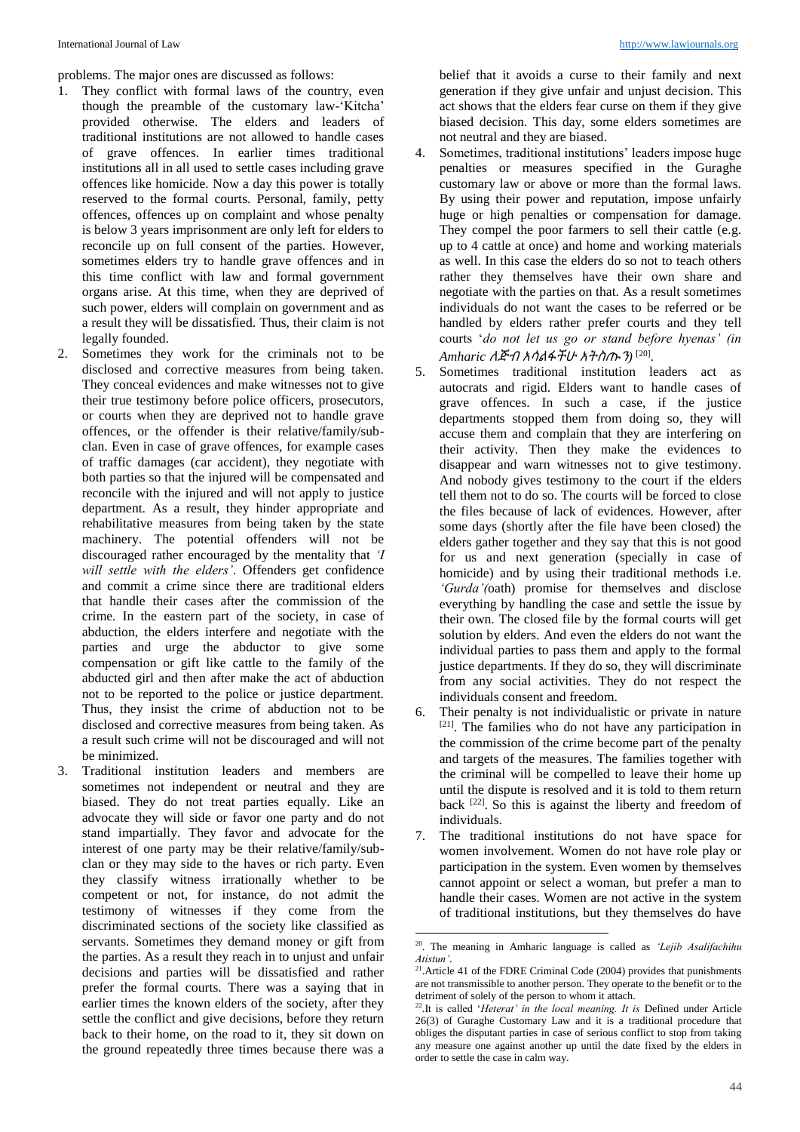problems. The major ones are discussed as follows:

- 1. They conflict with formal laws of the country, even though the preamble of the customary law-'Kitcha' provided otherwise. The elders and leaders of traditional institutions are not allowed to handle cases of grave offences. In earlier times traditional institutions all in all used to settle cases including grave offences like homicide. Now a day this power is totally reserved to the formal courts. Personal, family, petty offences, offences up on complaint and whose penalty is below 3 years imprisonment are only left for elders to reconcile up on full consent of the parties. However, sometimes elders try to handle grave offences and in this time conflict with law and formal government organs arise. At this time, when they are deprived of such power, elders will complain on government and as a result they will be dissatisfied. Thus, their claim is not legally founded.
- 2. Sometimes they work for the criminals not to be disclosed and corrective measures from being taken. They conceal evidences and make witnesses not to give their true testimony before police officers, prosecutors, or courts when they are deprived not to handle grave offences, or the offender is their relative/family/subclan. Even in case of grave offences, for example cases of traffic damages (car accident), they negotiate with both parties so that the injured will be compensated and reconcile with the injured and will not apply to justice department. As a result, they hinder appropriate and rehabilitative measures from being taken by the state machinery. The potential offenders will not be discouraged rather encouraged by the mentality that *'I will settle with the elders'*. Offenders get confidence and commit a crime since there are traditional elders that handle their cases after the commission of the crime. In the eastern part of the society, in case of abduction, the elders interfere and negotiate with the parties and urge the abductor to give some compensation or gift like cattle to the family of the abducted girl and then after make the act of abduction not to be reported to the police or justice department. Thus, they insist the crime of abduction not to be disclosed and corrective measures from being taken. As a result such crime will not be discouraged and will not be minimized.
- 3. Traditional institution leaders and members are sometimes not independent or neutral and they are biased. They do not treat parties equally. Like an advocate they will side or favor one party and do not stand impartially. They favor and advocate for the interest of one party may be their relative/family/subclan or they may side to the haves or rich party. Even they classify witness irrationally whether to be competent or not, for instance, do not admit the testimony of witnesses if they come from the discriminated sections of the society like classified as servants. Sometimes they demand money or gift from the parties. As a result they reach in to unjust and unfair decisions and parties will be dissatisfied and rather prefer the formal courts. There was a saying that in earlier times the known elders of the society, after they settle the conflict and give decisions, before they return back to their home, on the road to it, they sit down on the ground repeatedly three times because there was a

belief that it avoids a curse to their family and next generation if they give unfair and unjust decision. This act shows that the elders fear curse on them if they give biased decision. This day, some elders sometimes are not neutral and they are biased.

- 4. Sometimes, traditional institutions' leaders impose huge penalties or measures specified in the Guraghe customary law or above or more than the formal laws. By using their power and reputation, impose unfairly huge or high penalties or compensation for damage. They compel the poor farmers to sell their cattle (e.g. up to 4 cattle at once) and home and working materials as well. In this case the elders do so not to teach others rather they themselves have their own share and negotiate with the parties on that. As a result sometimes individuals do not want the cases to be referred or be handled by elders rather prefer courts and they tell courts '*do not let us go or stand before hyenas' (in Amharic* ለጅብ አሳልፋችሁ አትስጡን*)* [20] .
- 5. Sometimes traditional institution leaders act as autocrats and rigid. Elders want to handle cases of grave offences. In such a case, if the justice departments stopped them from doing so, they will accuse them and complain that they are interfering on their activity. Then they make the evidences to disappear and warn witnesses not to give testimony. And nobody gives testimony to the court if the elders tell them not to do so. The courts will be forced to close the files because of lack of evidences. However, after some days (shortly after the file have been closed) the elders gather together and they say that this is not good for us and next generation (specially in case of homicide) and by using their traditional methods i.e. *'Gurda'(*oath) promise for themselves and disclose everything by handling the case and settle the issue by their own. The closed file by the formal courts will get solution by elders. And even the elders do not want the individual parties to pass them and apply to the formal justice departments. If they do so, they will discriminate from any social activities. They do not respect the individuals consent and freedom.
- 6. Their penalty is not individualistic or private in nature [21]. The families who do not have any participation in the commission of the crime become part of the penalty and targets of the measures. The families together with the criminal will be compelled to leave their home up until the dispute is resolved and it is told to them return back [22] . So this is against the liberty and freedom of individuals.
- 7. The traditional institutions do not have space for women involvement. Women do not have role play or participation in the system. Even women by themselves cannot appoint or select a woman, but prefer a man to handle their cases. Women are not active in the system of traditional institutions, but they themselves do have

 20 . The meaning in Amharic language is called as *'Lejib Asalifachihu Atistun'*.

<sup>&</sup>lt;sup>21</sup>. Article 41 of the FDRE Criminal Code (2004) provides that punishments are not transmissible to another person. They operate to the benefit or to the detriment of solely of the person to whom it attach.

<sup>22</sup> .It is called '*Heterat' in the local meaning. It is* Defined under Article 26(3) of Guraghe Customary Law and it is a traditional procedure that obliges the disputant parties in case of serious conflict to stop from taking any measure one against another up until the date fixed by the elders in order to settle the case in calm way.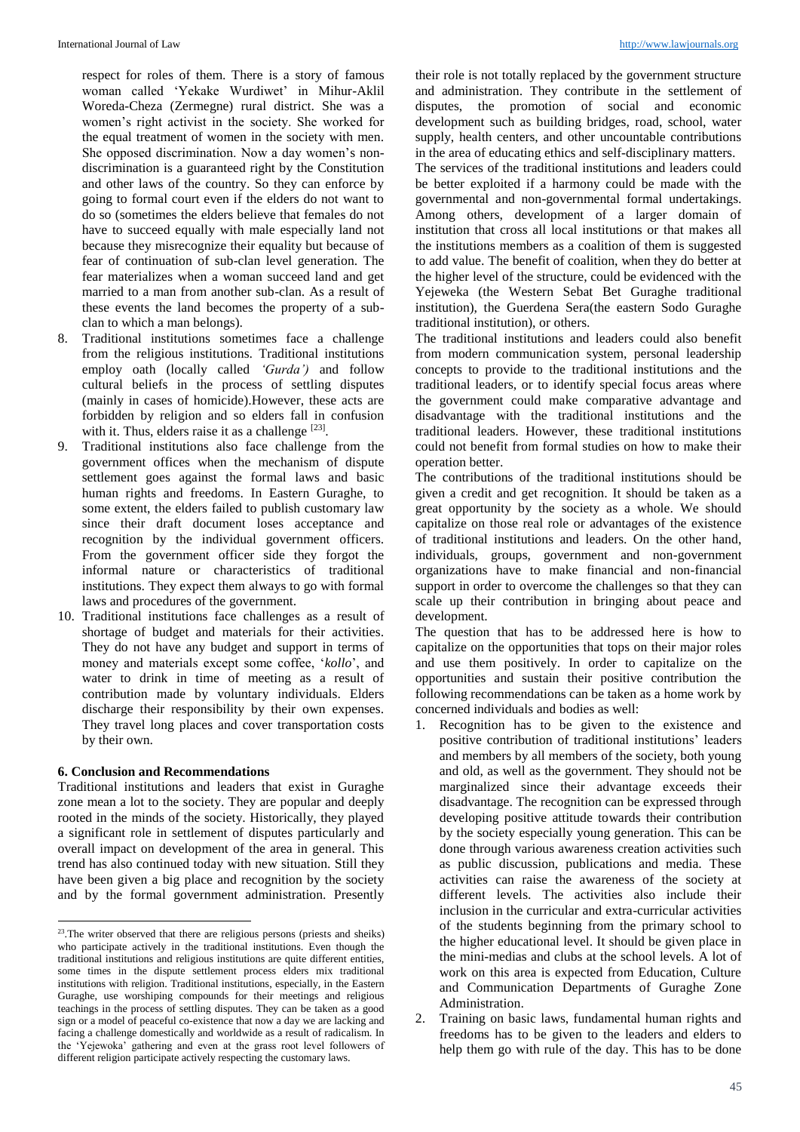respect for roles of them. There is a story of famous woman called 'Yekake Wurdiwet' in Mihur-Aklil Woreda-Cheza (Zermegne) rural district. She was a women's right activist in the society. She worked for the equal treatment of women in the society with men. She opposed discrimination. Now a day women's nondiscrimination is a guaranteed right by the Constitution and other laws of the country. So they can enforce by going to formal court even if the elders do not want to do so (sometimes the elders believe that females do not have to succeed equally with male especially land not because they misrecognize their equality but because of fear of continuation of sub-clan level generation. The fear materializes when a woman succeed land and get married to a man from another sub-clan. As a result of these events the land becomes the property of a subclan to which a man belongs).

- 8. Traditional institutions sometimes face a challenge from the religious institutions. Traditional institutions employ oath (locally called *'Gurda')* and follow cultural beliefs in the process of settling disputes (mainly in cases of homicide).However, these acts are forbidden by religion and so elders fall in confusion with it. Thus, elders raise it as a challenge [23].
- 9. Traditional institutions also face challenge from the government offices when the mechanism of dispute settlement goes against the formal laws and basic human rights and freedoms. In Eastern Guraghe, to some extent, the elders failed to publish customary law since their draft document loses acceptance and recognition by the individual government officers. From the government officer side they forgot the informal nature or characteristics of traditional institutions. They expect them always to go with formal laws and procedures of the government.
- 10. Traditional institutions face challenges as a result of shortage of budget and materials for their activities. They do not have any budget and support in terms of money and materials except some coffee, '*kollo*', and water to drink in time of meeting as a result of contribution made by voluntary individuals. Elders discharge their responsibility by their own expenses. They travel long places and cover transportation costs by their own.

#### **6. Conclusion and Recommendations**

Traditional institutions and leaders that exist in Guraghe zone mean a lot to the society. They are popular and deeply rooted in the minds of the society. Historically, they played a significant role in settlement of disputes particularly and overall impact on development of the area in general. This trend has also continued today with new situation. Still they have been given a big place and recognition by the society and by the formal government administration. Presently their role is not totally replaced by the government structure and administration. They contribute in the settlement of disputes, the promotion of social and economic development such as building bridges, road, school, water supply, health centers, and other uncountable contributions in the area of educating ethics and self-disciplinary matters.

The services of the traditional institutions and leaders could be better exploited if a harmony could be made with the governmental and non-governmental formal undertakings. Among others, development of a larger domain of institution that cross all local institutions or that makes all the institutions members as a coalition of them is suggested to add value. The benefit of coalition, when they do better at the higher level of the structure, could be evidenced with the Yejeweka (the Western Sebat Bet Guraghe traditional institution), the Guerdena Sera(the eastern Sodo Guraghe traditional institution), or others.

The traditional institutions and leaders could also benefit from modern communication system, personal leadership concepts to provide to the traditional institutions and the traditional leaders, or to identify special focus areas where the government could make comparative advantage and disadvantage with the traditional institutions and the traditional leaders. However, these traditional institutions could not benefit from formal studies on how to make their operation better.

The contributions of the traditional institutions should be given a credit and get recognition. It should be taken as a great opportunity by the society as a whole. We should capitalize on those real role or advantages of the existence of traditional institutions and leaders. On the other hand, individuals, groups, government and non-government organizations have to make financial and non-financial support in order to overcome the challenges so that they can scale up their contribution in bringing about peace and development.

The question that has to be addressed here is how to capitalize on the opportunities that tops on their major roles and use them positively. In order to capitalize on the opportunities and sustain their positive contribution the following recommendations can be taken as a home work by concerned individuals and bodies as well:

- 1. Recognition has to be given to the existence and positive contribution of traditional institutions' leaders and members by all members of the society, both young and old, as well as the government. They should not be marginalized since their advantage exceeds their disadvantage. The recognition can be expressed through developing positive attitude towards their contribution by the society especially young generation. This can be done through various awareness creation activities such as public discussion, publications and media. These activities can raise the awareness of the society at different levels. The activities also include their inclusion in the curricular and extra-curricular activities of the students beginning from the primary school to the higher educational level. It should be given place in the mini-medias and clubs at the school levels. A lot of work on this area is expected from Education, Culture and Communication Departments of Guraghe Zone Administration.
- 2. Training on basic laws, fundamental human rights and freedoms has to be given to the leaders and elders to help them go with rule of the day. This has to be done

 23 .The writer observed that there are religious persons (priests and sheiks) who participate actively in the traditional institutions. Even though the traditional institutions and religious institutions are quite different entities, some times in the dispute settlement process elders mix traditional institutions with religion. Traditional institutions, especially, in the Eastern Guraghe, use worshiping compounds for their meetings and religious teachings in the process of settling disputes. They can be taken as a good sign or a model of peaceful co-existence that now a day we are lacking and facing a challenge domestically and worldwide as a result of radicalism. In the 'Yejewoka' gathering and even at the grass root level followers of different religion participate actively respecting the customary laws.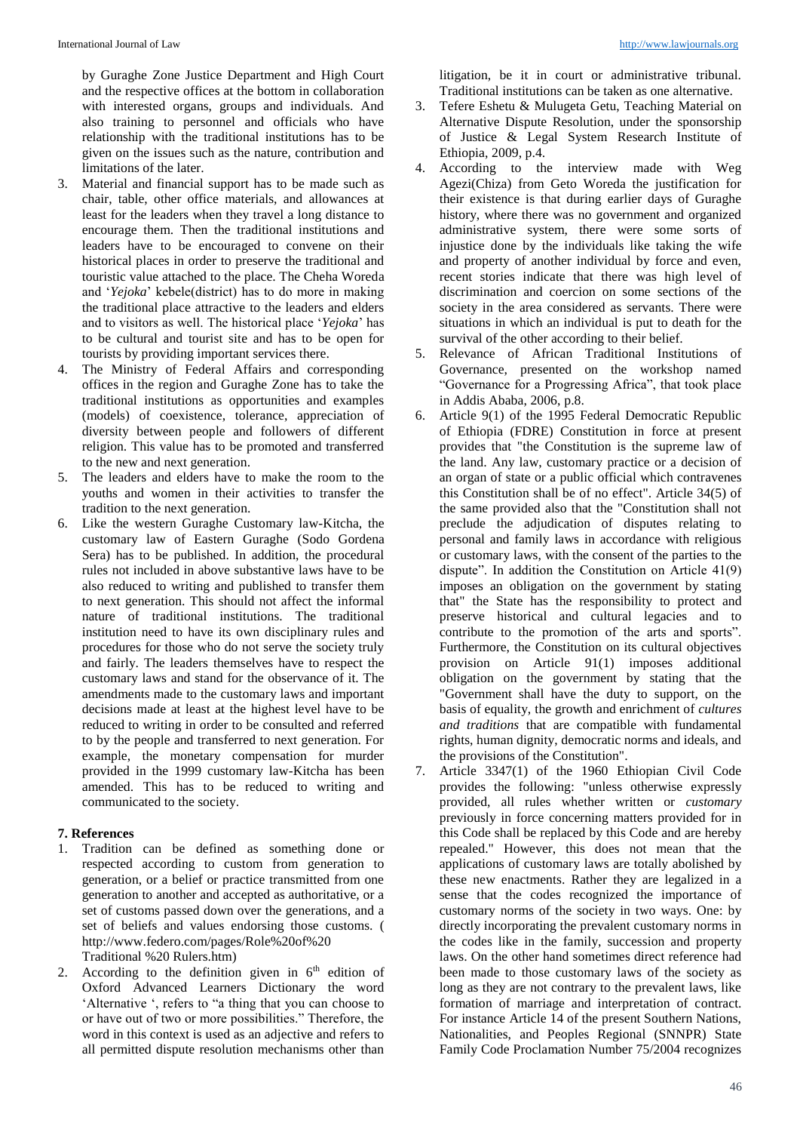by Guraghe Zone Justice Department and High Court and the respective offices at the bottom in collaboration with interested organs, groups and individuals. And also training to personnel and officials who have relationship with the traditional institutions has to be given on the issues such as the nature, contribution and limitations of the later.

- 3. Material and financial support has to be made such as chair, table, other office materials, and allowances at least for the leaders when they travel a long distance to encourage them. Then the traditional institutions and leaders have to be encouraged to convene on their historical places in order to preserve the traditional and touristic value attached to the place. The Cheha Woreda and '*Yejoka*' kebele(district) has to do more in making the traditional place attractive to the leaders and elders and to visitors as well. The historical place '*Yejoka*' has to be cultural and tourist site and has to be open for tourists by providing important services there.
- 4. The Ministry of Federal Affairs and corresponding offices in the region and Guraghe Zone has to take the traditional institutions as opportunities and examples (models) of coexistence, tolerance, appreciation of diversity between people and followers of different religion. This value has to be promoted and transferred to the new and next generation.
- 5. The leaders and elders have to make the room to the youths and women in their activities to transfer the tradition to the next generation.
- 6. Like the western Guraghe Customary law-Kitcha, the customary law of Eastern Guraghe (Sodo Gordena Sera) has to be published. In addition, the procedural rules not included in above substantive laws have to be also reduced to writing and published to transfer them to next generation. This should not affect the informal nature of traditional institutions. The traditional institution need to have its own disciplinary rules and procedures for those who do not serve the society truly and fairly. The leaders themselves have to respect the customary laws and stand for the observance of it. The amendments made to the customary laws and important decisions made at least at the highest level have to be reduced to writing in order to be consulted and referred to by the people and transferred to next generation. For example, the monetary compensation for murder provided in the 1999 customary law-Kitcha has been amended. This has to be reduced to writing and communicated to the society.

## **7. References**

- 1. Tradition can be defined as something done or respected according to custom from generation to generation, or a belief or practice transmitted from one generation to another and accepted as authoritative, or a set of customs passed down over the generations, and a set of beliefs and values endorsing those customs. ( http://www.federo.com/pages/Role%20of%20 Traditional %20 Rulers.htm)
- 2. According to the definition given in  $6<sup>th</sup>$  edition of Oxford Advanced Learners Dictionary the word 'Alternative ', refers to "a thing that you can choose to or have out of two or more possibilities." Therefore, the word in this context is used as an adjective and refers to all permitted dispute resolution mechanisms other than

litigation, be it in court or administrative tribunal. Traditional institutions can be taken as one alternative.

- 3. Tefere Eshetu & Mulugeta Getu, Teaching Material on Alternative Dispute Resolution, under the sponsorship of Justice & Legal System Research Institute of Ethiopia, 2009, p.4.
- 4. According to the interview made with Weg Agezi(Chiza) from Geto Woreda the justification for their existence is that during earlier days of Guraghe history, where there was no government and organized administrative system, there were some sorts of injustice done by the individuals like taking the wife and property of another individual by force and even, recent stories indicate that there was high level of discrimination and coercion on some sections of the society in the area considered as servants. There were situations in which an individual is put to death for the survival of the other according to their belief.
- 5. Relevance of African Traditional Institutions of Governance, presented on the workshop named "Governance for a Progressing Africa", that took place in Addis Ababa, 2006, p.8.
- 6. Article 9(1) of the 1995 Federal Democratic Republic of Ethiopia (FDRE) Constitution in force at present provides that "the Constitution is the supreme law of the land. Any law, customary practice or a decision of an organ of state or a public official which contravenes this Constitution shall be of no effect". Article 34(5) of the same provided also that the "Constitution shall not preclude the adjudication of disputes relating to personal and family laws in accordance with religious or customary laws, with the consent of the parties to the dispute". In addition the Constitution on Article 41(9) imposes an obligation on the government by stating that" the State has the responsibility to protect and preserve historical and cultural legacies and to contribute to the promotion of the arts and sports". Furthermore, the Constitution on its cultural objectives provision on Article 91(1) imposes additional obligation on the government by stating that the "Government shall have the duty to support, on the basis of equality, the growth and enrichment of *cultures and traditions* that are compatible with fundamental rights, human dignity, democratic norms and ideals, and the provisions of the Constitution".
- 7. Article 3347(1) of the 1960 Ethiopian Civil Code provides the following: "unless otherwise expressly provided, all rules whether written or *customary* previously in force concerning matters provided for in this Code shall be replaced by this Code and are hereby repealed." However, this does not mean that the applications of customary laws are totally abolished by these new enactments. Rather they are legalized in a sense that the codes recognized the importance of customary norms of the society in two ways. One: by directly incorporating the prevalent customary norms in the codes like in the family, succession and property laws. On the other hand sometimes direct reference had been made to those customary laws of the society as long as they are not contrary to the prevalent laws, like formation of marriage and interpretation of contract. For instance Article 14 of the present Southern Nations, Nationalities, and Peoples Regional (SNNPR) State Family Code Proclamation Number 75/2004 recognizes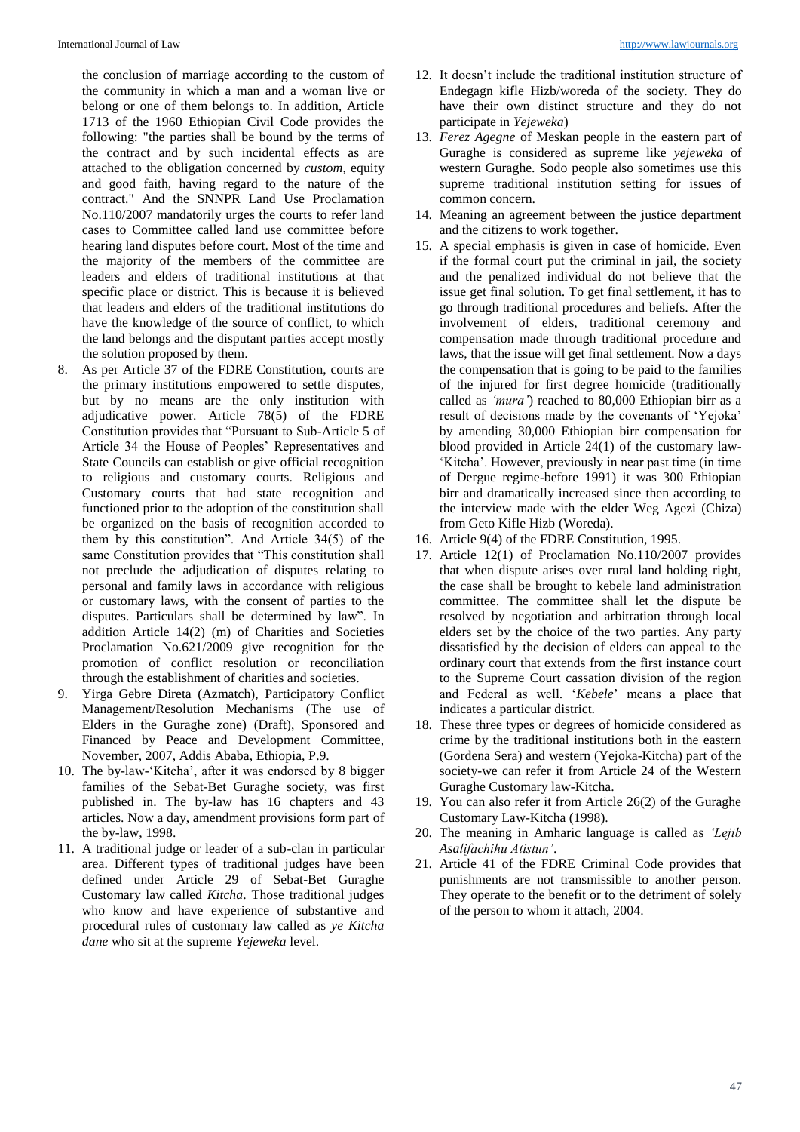the conclusion of marriage according to the custom of the community in which a man and a woman live or belong or one of them belongs to. In addition, Article 1713 of the 1960 Ethiopian Civil Code provides the following: "the parties shall be bound by the terms of the contract and by such incidental effects as are attached to the obligation concerned by *custom*, equity and good faith, having regard to the nature of the contract." And the SNNPR Land Use Proclamation No.110/2007 mandatorily urges the courts to refer land cases to Committee called land use committee before hearing land disputes before court. Most of the time and the majority of the members of the committee are leaders and elders of traditional institutions at that specific place or district. This is because it is believed that leaders and elders of the traditional institutions do have the knowledge of the source of conflict, to which the land belongs and the disputant parties accept mostly the solution proposed by them.

- 8. As per Article 37 of the FDRE Constitution, courts are the primary institutions empowered to settle disputes, but by no means are the only institution with adjudicative power. Article 78(5) of the FDRE Constitution provides that "Pursuant to Sub-Article 5 of Article 34 the House of Peoples' Representatives and State Councils can establish or give official recognition to religious and customary courts. Religious and Customary courts that had state recognition and functioned prior to the adoption of the constitution shall be organized on the basis of recognition accorded to them by this constitution". And Article 34(5) of the same Constitution provides that "This constitution shall not preclude the adjudication of disputes relating to personal and family laws in accordance with religious or customary laws, with the consent of parties to the disputes. Particulars shall be determined by law". In addition Article 14(2) (m) of Charities and Societies Proclamation No.621/2009 give recognition for the promotion of conflict resolution or reconciliation through the establishment of charities and societies.
- 9. Yirga Gebre Direta (Azmatch), Participatory Conflict Management/Resolution Mechanisms (The use of Elders in the Guraghe zone) (Draft), Sponsored and Financed by Peace and Development Committee, November, 2007, Addis Ababa, Ethiopia, P.9.
- 10. The by-law-'Kitcha', after it was endorsed by 8 bigger families of the Sebat-Bet Guraghe society, was first published in. The by-law has 16 chapters and 43 articles. Now a day, amendment provisions form part of the by-law, 1998.
- 11. A traditional judge or leader of a sub-clan in particular area. Different types of traditional judges have been defined under Article 29 of Sebat-Bet Guraghe Customary law called *Kitcha*. Those traditional judges who know and have experience of substantive and procedural rules of customary law called as *ye Kitcha dane* who sit at the supreme *Yejeweka* level.
- 12. It doesn't include the traditional institution structure of Endegagn kifle Hizb/woreda of the society. They do have their own distinct structure and they do not participate in *Yejeweka*)
- 13. *Ferez Agegne* of Meskan people in the eastern part of Guraghe is considered as supreme like *yejeweka* of western Guraghe. Sodo people also sometimes use this supreme traditional institution setting for issues of common concern.
- 14. Meaning an agreement between the justice department and the citizens to work together.
- 15. A special emphasis is given in case of homicide. Even if the formal court put the criminal in jail, the society and the penalized individual do not believe that the issue get final solution. To get final settlement, it has to go through traditional procedures and beliefs. After the involvement of elders, traditional ceremony and compensation made through traditional procedure and laws, that the issue will get final settlement. Now a days the compensation that is going to be paid to the families of the injured for first degree homicide (traditionally called as *'mura'*) reached to 80,000 Ethiopian birr as a result of decisions made by the covenants of 'Yejoka' by amending 30,000 Ethiopian birr compensation for blood provided in Article 24(1) of the customary law- 'Kitcha'. However, previously in near past time (in time of Dergue regime-before 1991) it was 300 Ethiopian birr and dramatically increased since then according to the interview made with the elder Weg Agezi (Chiza) from Geto Kifle Hizb (Woreda).
- 16. Article 9(4) of the FDRE Constitution, 1995.
- 17. Article 12(1) of Proclamation No.110/2007 provides that when dispute arises over rural land holding right, the case shall be brought to kebele land administration committee. The committee shall let the dispute be resolved by negotiation and arbitration through local elders set by the choice of the two parties. Any party dissatisfied by the decision of elders can appeal to the ordinary court that extends from the first instance court to the Supreme Court cassation division of the region and Federal as well. '*Kebele*' means a place that indicates a particular district.
- 18. These three types or degrees of homicide considered as crime by the traditional institutions both in the eastern (Gordena Sera) and western (Yejoka-Kitcha) part of the society-we can refer it from Article 24 of the Western Guraghe Customary law-Kitcha.
- 19. You can also refer it from Article 26(2) of the Guraghe Customary Law-Kitcha (1998).
- 20. The meaning in Amharic language is called as *'Lejib Asalifachihu Atistun'*.
- 21. Article 41 of the FDRE Criminal Code provides that punishments are not transmissible to another person. They operate to the benefit or to the detriment of solely of the person to whom it attach, 2004.